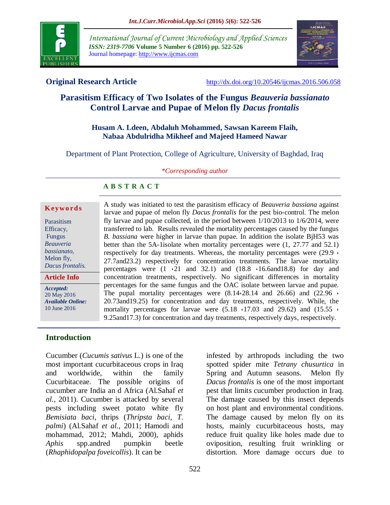

*International Journal of Current Microbiology and Applied Sciences ISSN: 2319-7706* **Volume 5 Number 6 (2016) pp. 522-526** Journal homepage: http://www.ijcmas.com



**Original Research Article** <http://dx.doi.org/10.20546/ijcmas.2016.506.058>

# **Parasitism Efficacy of Two Isolates of the Fungus** *Beauveria bassianato*  **Control Larvae and Pupae of Melon fly** *Dacus frontalis*

#### **Husam A. Ldeen, Abdaluh Mohammed, Sawsan Kareem Flaih, Nabaa Abdulridha Mikheef and Majeed Hameed Nawar**

Department of Plant Protection, College of Agriculture, University of Baghdad, Iraq

*\*Corresponding author*

#### **A B S T R A C T**

#### **K ey w o rd s**

| Parasitism       |
|------------------|
| Efficacy,        |
| Fungus           |
| <b>Beauveria</b> |
| bassianato,      |
| Melon fly,       |
| Dacus frontalis. |

*Accepted:*  20 May 2016 *Available Online:* 10 June 2016 **Article Info**

A study was initiated to test the parasitism efficacy of *Beauveria bassiana* against larvae and pupae of melon fly *Dacus frontalis* for the pest bio-control. The melon fly larvae and pupae collected, in the period between 1/10/2013 to 1/6/2014, were transferred to lab. Results revealed the mortality percentages caused by the fungus *B. bassiana* were higher in larvae than pupae. In addition the isolate BjH53 was better than the 5A-1isolate when mortality percentages were (1, 27.77 and 52.1) respectively for day treatments. Whereas, the mortality percentages were (29.9 ، 27.7and23.2) respectively for concentration treatments. The larvae mortality percentages were (1 ،21 and 32.1) and (18.8 ،16.6and18.8) for day and concentration treatments, respectively. No significant differences in mortality percentages for the same fungus and the OAC isolate between larvae and pupae. The pupal mortality percentages were  $(8.14 \cdot 28.14$  and  $26.66$ ) and  $(22.96 \cdot$ 20.73and19.25) for concentration and day treatments, respectively. While, the mortality percentages for larvae were  $(5.18 \cdot 17.03 \text{ and } 29.62)$  and  $(15.55 \cdot$ 9.25and17.3) for concentration and day treatments, respectively days, respectively.

# **Introduction**

Cucumber (*Cucumis sativus* L.) is one of the most important cucurbitaceous crops in Iraq and worldwide, within the family Cucurbitaceae. The possible origins of cucumber are India an d Africa (Al.Sahaf *et al.,* 2011). Cucumber is attacked by several pests including sweet potato white fly *Bemisiata baci*, thrips (*Thripsta baci, T. palmi*) (Al.Sahaf *et al.,* 2011; Hamodi and mohammad, 2012; Mahdi, 2000), aphids *Aphis* spp.andred pumpkin beetle (*Rhaphidopalpa foveicollis*). It can be

infested by arthropods including the two spotted spider mite *Tetrany chusurtica* in Spring and Autumn seasons. Melon fly *Dacus frontalis* is one of the most important pest that limits cucumber production in Iraq. The damage caused by this insect depends on host plant and environmental conditions. The damage caused by melon fly on its hosts, mainly cucurbitaceous hosts, may reduce fruit quality like holes made due to oviposition, resulting fruit wrinkling or distortion. More damage occurs due to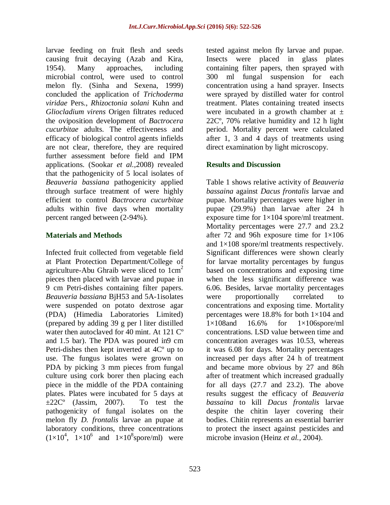larvae feeding on fruit flesh and seeds causing fruit decaying (Azab and Kira, 1954). Many approaches, including microbial control, were used to control melon fly. (Sinha and Sexena, 1999) concluded the application of *Trichoderma viridae* Pers., *Rhizoctonia solani* Kuhn and *Gliocladium virens* Origen filtrates reduced the oviposition development of *Bactrocera cucurbitae* adults. The effectiveness and efficacy of biological control agents infields are not clear, therefore, they are required further assessment before field and IPM applications. (Sookar *et al.,*2008) revealed that the pathogenicity of 5 local isolates of *Beauveria bassiana* pathogenicity applied through surface treatment of were highly efficient to control *Bactrocera cucurbitae* adults within five days when mortality percent ranged between (2-94%).

## **Materials and Methods**

Infected fruit collected from vegetable field at Plant Protection Department/College of agriculture-Abu Ghraib were sliced to  $1 \text{cm}^2$ pieces then placed with larvae and pupae in 9 cm Petri-dishes containing filter papers. *Beauveria bassiana* BjH53 and 5A-1isolates were suspended on potato dextrose agar (PDA) (Himedia Laboratories Limited) (prepared by adding 39 g per l liter distilled water then autoclaved for 40 mint. At 121 C° and 1.5 bar). The PDA was poured in9 cm Petri-dishes then kept inverted at 4Cº up to use. The fungus isolates were grown on PDA by picking 3 mm pieces from fungal culture using cork borer then placing each piece in the middle of the PDA containing plates. Plates were incubated for 5 days at  $\pm 22C^{\circ}$  (Jassim, 2007). To test the pathogenicity of fungal isolates on the melon fly *D. frontalis* larvae an pupae at laboratory conditions, three concentrations  $(1\times10^4, 1\times10^6$  and  $1\times10^8$ spore/ml) were tested against melon fly larvae and pupae. Insects were placed in glass plates containing filter papers, then sprayed with 300 ml fungal suspension for each concentration using a hand sprayer. Insects were sprayed by distilled water for control treatment. Plates containing treated insects were incubated in a growth chamber at  $\pm$ 22Cº, 70% relative humidity and 12 h light period. Mortality percent were calculated after 1, 3 and 4 days of treatments using direct examination by light microscopy.

# **Results and Discussion**

Table 1 shows relative activity of *Beauveria bassaina* against *Dacus frontalis* larvae and pupae. Mortality percentages were higher in pupae (29.9%) than larvae after 24 h exposure time for 1×104 spore/ml treatment. Mortality percentages were 27.7 and 23.2 after 72 and 96h exposure time for  $1\times106$ and 1×108 spore/ml treatments respectively. Significant differences were shown clearly for larvae mortality percentages by fungus based on concentrations and exposing time when the less significant difference was 6.06. Besides, larvae mortality percentages were proportionally correlated to concentrations and exposing time. Mortality percentages were 18.8% for both  $1\times104$  and 1×108and 16.6% for 1×106spore/ml concentrations. LSD value between time and concentration averages was 10.53, whereas it was 6.08 for days. Mortality percentages increased per days after 24 h of treatment and became more obvious by 27 and 86h after of treatment which increased gradually for all days (27.7 and 23.2). The above results suggest the efficacy of *Beauveria bassaina* to kill *Dacus frontalis* larvae despite the chitin layer covering their bodies. Chitin represents an essential barrier to protect the insect against pesticides and microbe invasion (Heinz *et al.,* 2004).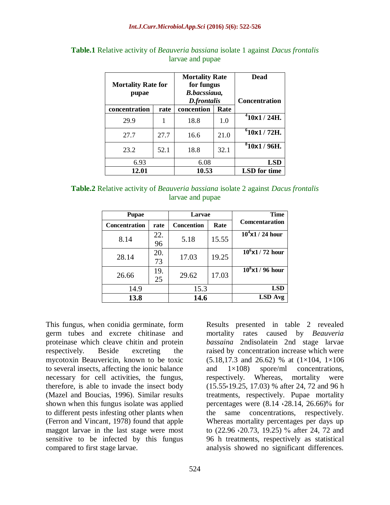| <b>Mortality Rate for</b><br>pupae |      | <b>Mortality Rate</b><br>for fungus<br>B.bacssiaua,<br>D.frontalis |      | <b>Dead</b><br><b>Concentration</b> |
|------------------------------------|------|--------------------------------------------------------------------|------|-------------------------------------|
| concentration                      | rate | concention                                                         | Rate |                                     |
| 29.9                               |      | 18.8                                                               | 1.0  | $410x1/24H$ .                       |
| 27.7                               | 27.7 | 16.6                                                               | 21.0 | 610x1/72H.                          |
| 23.2                               | 52.1 | 18.8                                                               | 32.1 | $810x1/96H$ .                       |
| 6.93                               |      | 6.08                                                               |      | <b>LSD</b>                          |
| 12.01                              |      | 10.53                                                              |      | <b>LSD</b> for time                 |

|  | <b>Table.1</b> Relative activity of <i>Beauveria bassiana</i> isolate 1 against <i>Dacus frontalis</i> |                  |  |  |  |
|--|--------------------------------------------------------------------------------------------------------|------------------|--|--|--|
|  |                                                                                                        | larvae and pupae |  |  |  |

| <b>Table.2</b> Relative activity of <i>Beauveria bassiana</i> isolate 2 against <i>Dacus frontalis</i> |
|--------------------------------------------------------------------------------------------------------|
| larvae and pupae                                                                                       |

| <b>Pupae</b>  |           | Larvae            |       | <b>Time</b>           |
|---------------|-----------|-------------------|-------|-----------------------|
| Concentration | rate      | <b>Concention</b> | Rate  | <b>Comcentaration</b> |
| 8.14          | 22.<br>96 | 5.18              | 15.55 | $10^4$ x1 / 24 hour   |
| 28.14         | 20.<br>73 | 17.03             | 19.25 | $10^6$ x1 / 72 hour   |
| 26.66         | 19.<br>25 | 29.62             | 17.03 | $10^8$ x1 / 96 hour   |
| 14.9          |           | 15.3              |       | <b>LSD</b>            |
| 13.8          |           | 14.6              |       | LSD Avg               |

This fungus, when conidia germinate, form germ tubes and excrete chitinase and proteinase which cleave chitin and protein respectively. Beside excreting the mycotoxin Beauvericin, known to be toxic to several insects, affecting the ionic balance necessary for cell activities, the fungus, therefore, is able to invade the insect body (Mazel and Boucias, 1996). Similar results shown when this fungus isolate was applied to different pests infesting other plants when (Ferron and Vincant, 1978) found that apple maggot larvae in the last stage were most sensitive to be infected by this fungus compared to first stage larvae.

Results presented in table 2 revealed mortality rates caused by *Beauveria bassaina* 2ndisolatein 2nd stage larvae raised by concentration increase which were (5.18,17.3 and 26.62) % at (1×104, 1×106 and  $1\times108$  spore/ml concentrations, respectively. Whereas, mortality were (15.55،19.25, 17.03) % after 24, 72 and 96 h treatments, respectively. Pupae mortality percentages were (8.14 ،28.14, 26.66)% for the same concentrations, respectively. Whereas mortality percentages per days up to (22.96 ،20.73, 19.25) % after 24, 72 and 96 h treatments, respectively as statistical analysis showed no significant differences.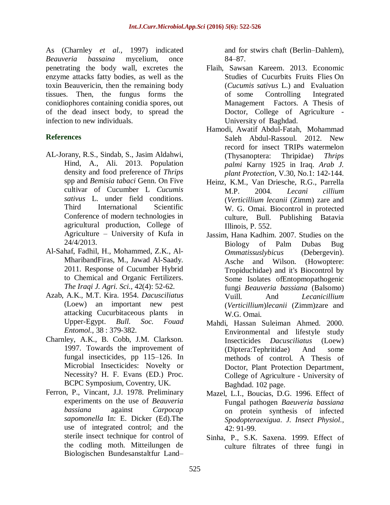As (Charnley *et al.,* 1997) indicated *Beauveria bassaina* mycelium, once penetrating the body wall, excretes the enzyme attacks fatty bodies, as well as the toxin Beauvericin, then the remaining body tissues. Then, the fungus forms the conidiophores containing conidia spores, out of the dead insect body, to spread the infection to new individuals.

## **References**

- AL-Jorany, R.S., Sindab, S., Jasim Aldahwi, Hind, A., Ali. 2013. Population density and food preference of *Thrips* spp and *Bemisia tabaci* Genn. On Five cultivar of Cucumber L *Cucumis sativus* L. under field conditions. Third International Scientific Conference of modern technologies in agricultural production, College of Agriculture – University of Kufa in 24/4/2013.
- Al-Sahaf, Fadhil, H., Mohammed, Z.K., Al-MharibandFiras, M., Jawad Al-Saady. 2011. Response of Cucumber Hybrid to Chemical and Organic Fertilizers. *The Iraqi J. Agri. Sci.,* 42(4): 52-62.
- Azab, A.K., M.T. Kira. 1954. *Dacusciliatus* (Loew) an important new pest attacking Cucurbitaceous plants in Upper-Egypt. *Bull. Soc. Fouad Entomol.,* 38 : 379-382.
- Charnley, A.K., B. Cobb, J.M. Clarkson. 1997. Towards the improvement of fungal insecticides, pp 115–126. In Microbial Insecticides: Novelty or Necessity? H. F. Evans (ED.) Proc. BCPC Symposium, Coventry, UK.
- Ferron, P., Vincant, J.J. 1978. Preliminary experiments on the use of *Beauveria bassiana* against *Carpocap sapomonella* In: E. Dicker (Ed).The use of integrated control; and the sterile insect technique for control of the codling moth. Mitteilungen de Biologischen Bundesanstaltfur Land–

and for stwirs chaft (Berlin–Dahlem), 84–87.

- Flaih, Sawsan Kareem. 2013. Economic Studies of Cucurbits Fruits Flies On (*Cucumis sativus* L.) and Evaluation of some Controlling Integrated Management Factors. A Thesis of Doctor, College of Agriculture - University of Baghdad.
- Hamodi, Awatif Abdul-Fatah, [Mohammad](http://www.iasj.net/iasj?func=search&query=au:%22Mohammad%20Saleh%20Abdul-Rassoul%20%D9%85%D8%AD%D9%85%D8%AF%20%D8%B5%D8%A7%D9%84%D8%AD%20%D8%B9%D8%A8%D8%AF%20%D8%A7%D9%84%D8%B1%D8%B3%D9%88%D9%84%20%22&uiLanguage=en)  [Saleh Abdul-Rassoul.](http://www.iasj.net/iasj?func=search&query=au:%22Mohammad%20Saleh%20Abdul-Rassoul%20%D9%85%D8%AD%D9%85%D8%AF%20%D8%B5%D8%A7%D9%84%D8%AD%20%D8%B9%D8%A8%D8%AF%20%D8%A7%D9%84%D8%B1%D8%B3%D9%88%D9%84%20%22&uiLanguage=en) 2012. New record for insect TRIPs watermelon (Thysanoptera: Thripidae) *Thrips palmi* Karny 1925 in Iraq. *Arab J. plant Protection,* V.30, No.1: 142-144.
- Heinz, K.M., Van Driesche, R.G., Parrella M.P. 2004. *Lecani cillium* (*Verticillium lecanii* (Zimm) zare and W. G. Omai. Biocontrol in protected culture, Bull. Publishing Batavia Illinois, P. 552.
- Jassim, Hana Kadhim. 2007. Studies on the Biology of Palm Dubas Bug *Ommatissuslybicus* (Debergevin). Asche and Wilson. (Howoptere: Tropiduchidae) and it's Biocontrol by Some Isolates ofEntopmopathogenic fungi *Beauveria bassiana* (Balsomo) Vuill. And *Lecanicillium* (*Verticillium*)*lecanii* (Zimm)zare and W.G. Omai.
- Mahdi, Hassan Suleiman Ahmed. 2000. Environmental and lifestyle study Insecticides *Dacusciliatus* (Loew) (Diptera:Tephritidae) And some methods of control. A Thesis of Doctor, Plant Protection Department, College of Agriculture - University of Baghdad. 102 page.
- Mazel, L.I., Boucias, D.G. 1996. Effect of Fungal pathogen *Baeuveria bassiana* on protein synthesis of infected *Spodopteraexigua*. *J. Insect Physiol.,*  42: 91-99.
- Sinha, P., S.K. Saxena. 1999. Effect of culture filtrates of three fungi in